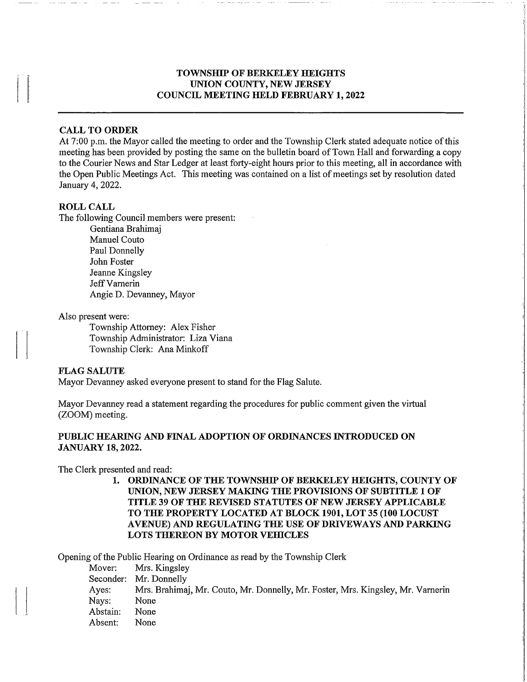### TOWNSHIP OF BERKELEY HEIGHTS UNION COUNTY, NEW JERSEY COUNCIL MEETING HELD FEBRUARY 1, 2022

#### CALL TO ORDER

At 7:00 p.m. the Mayor called the meeting to order and the Township Clerk stated adequate notice of this meeting has been provided by posting the same on the bulletin board of Town Hall and forwarding a copy to the Courier News and Star Ledger at least forty-eight hours prior to this meeting, all in accordance with the Open Public Meetings Act. This meeting was contained on a list of meetings set by resolution dated January 4,2022.

#### ROLL CALL

The following Council members were present:

Gentiana Brahimaj Manuel Couto Paul Donnelly John Foster Jeanne Kingsley Jeff Varnerin Angie D. Devanney, Mayor

Also present were:

Township Attorney: Alex Fisher Township Administrator: Liza Viana Township Clerk: Ana Minkoff

### FLAG SALUTE

Mayor Devanney asked everyone present to stand for the Flag Salute.

Mayor Devanney read a statement regarding the procedures for public comment given the virtual (ZOOM) meeting.

### PUBLIC HEARING AND FINAL ADOPTION OF ORDINANCES INTRODUCED ON JANUARY 18,2022.

The Clerk presented and read:

1. ORDINANCE OF THE TOWNSHIP OF BERKELEY HEIGHTS, COUNTY OF UNION, NEW JERSEY MAKING THE PROVISIONS OF SUBTITLE 1 OF TITLE 39 OF THE REVISED STATUTES OF NEW JERSEY APPLICABLE TO THE PROPERTY LOCATED AT BLOCK 1901, LOT 35 (100 LOCUST AVENUE) AND REGULATING THE USE OF DRIVEWAYS AND PARKING LOTS THEREON BY MOTOR VEHICLES

Opening of the Public Hearing on Ordinance as read by the Township Clerk

Mover: Mrs. Kingsley Seconder: Mr. Donnelly Ayes: Mrs. Brahimaj, Mr. Couto, Mr. Donnelly, Mr. Foster, Mrs. Kingsley, Mr. Vamerin Nays: None Abstain: None Absent: None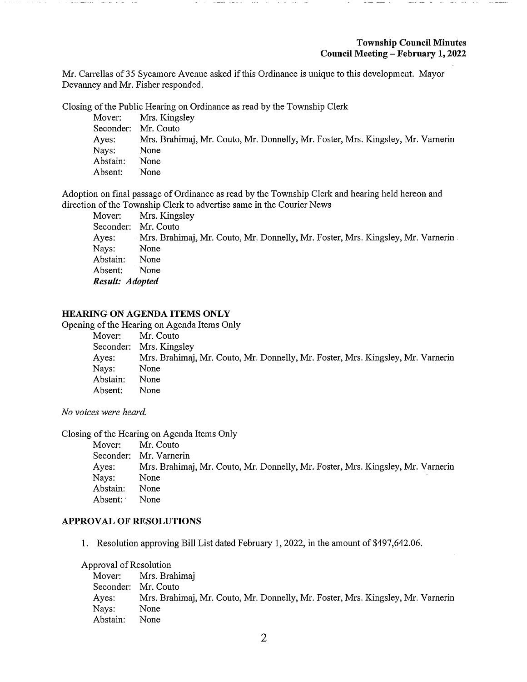Mr. Carrellas of 35 Sycamore Avenue asked if this Ordinance is unique to this development. Mayor Devanney and Mr. Fisher responded.

Closing of the Public Hearing on Ordinance as read by the Township Clerk

|                     | Mover: Mrs. Kingsley                                                            |
|---------------------|---------------------------------------------------------------------------------|
| Seconder: Mr. Couto |                                                                                 |
| Ayes:               | Mrs. Brahimaj, Mr. Couto, Mr. Donnelly, Mr. Foster, Mrs. Kingsley, Mr. Varnerin |
| Nays:               | None                                                                            |
| Abstain:            | None                                                                            |
| Absent:             | None                                                                            |

Adoption on final passage of Ordinance as read by the Township Clerk and hearing held hereon and direction of the Township Clerk to advertise same in the Courier News

Mover: Mrs. Kingsley Seconder: Mr. Couto Ayes: Mrs. Brahimaj, Mr. Couto, Mr. Donnelly, Mr. Foster, Mrs. Kingsley, Mr. Vamerin Nays: None Abstain: None Absent: None Result: Adopted

## HEARING ON AGENDA ITEMS ONLY

Opening of the Hearing on Agenda Items Only

| Mover:   | Mr. Couto                                                                       |
|----------|---------------------------------------------------------------------------------|
|          | Seconder: Mrs. Kingsley                                                         |
| Ayes:    | Mrs. Brahimaj, Mr. Couto, Mr. Donnelly, Mr. Foster, Mrs. Kingsley, Mr. Varnerin |
| Nays:    | None                                                                            |
| Abstain: | None                                                                            |
| Absent:  | None                                                                            |

No voices were heard.

Closing of the Hearing on Agenda Items Only

| Mover:   | Mr. Couto                                                                       |
|----------|---------------------------------------------------------------------------------|
|          | Seconder: Mr. Varnerin                                                          |
| Ayes:    | Mrs. Brahimaj, Mr. Couto, Mr. Donnelly, Mr. Foster, Mrs. Kingsley, Mr. Varnerin |
| Nays:    | None                                                                            |
| Abstain: | None                                                                            |
| Absent:  | None                                                                            |

### APPROVAL OF RESOLUTIONS

1. Resolution approving Bill List dated February 1, 2022, in the amount of \$497,642.06.

#### Approval of Resolution

Mover: Mrs. Brahimaj Seconder: Mr. Couto<br>Ayes: Mrs. Brahi Mrs. Brahimaj, Mr. Couto, Mr. Donnelly, Mr. Foster, Mrs. Kingsley, Mr. Varnerin Nays: None Abstain: None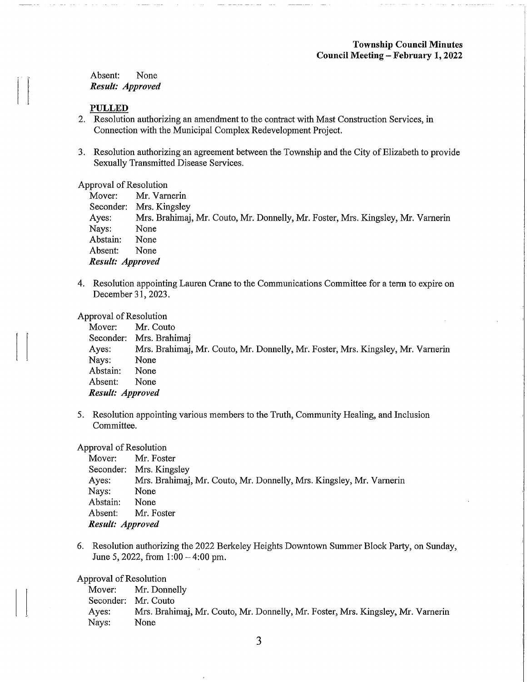Absent: None Result: Approved

#### PULLED

- 2. Resolution authorizing an amendment to the contract with Mast Construction Services, in Connection with the Municipal Complex Redevelopment Project.
- 3. Resolution authorizing an agreement between the Township and the City of Elizabeth to provide Sexually Transmitted Disease Services.

#### Approval of Resolution

|                  | Mover: Mr. Varnerin                                                             |
|------------------|---------------------------------------------------------------------------------|
|                  | Seconder: Mrs. Kingsley                                                         |
| Ayes:            | Mrs. Brahimaj, Mr. Couto, Mr. Donnelly, Mr. Foster, Mrs. Kingsley, Mr. Varnerin |
| Nays:            | None                                                                            |
| Abstain:         | None                                                                            |
| Absent:          | None                                                                            |
| Result: Approved |                                                                                 |

4. Resolution appointing Lauren Crane to the Communications Committee for a term to expire on December 31,2023.

#### Approval of Resolution

| Mover:           | Mr. Couto                                                                       |
|------------------|---------------------------------------------------------------------------------|
|                  | Seconder: Mrs. Brahimaj                                                         |
| Ayes:            | Mrs. Brahimaj, Mr. Couto, Mr. Donnelly, Mr. Foster, Mrs. Kingsley, Mr. Varnerin |
| Nays:            | None                                                                            |
| Abstain:         | None                                                                            |
| Absent:          | None                                                                            |
| Result: Approved |                                                                                 |

5. Resolution appointing various members to the Truth, Community Healing, and Inclusion Committee.

#### Approval of Resolution

|                    | Mover: Mr. Foster                                                   |
|--------------------|---------------------------------------------------------------------|
|                    | Seconder: Mrs. Kingsley                                             |
| Ayes:              | Mrs. Brahimaj, Mr. Couto, Mr. Donnelly, Mrs. Kingsley, Mr. Varnerin |
| Nays:              | None                                                                |
| Abstain:           | None                                                                |
| Absent: Mr. Foster |                                                                     |
| Result: Approved   |                                                                     |

6. Resolution authorizing the 2022 Berkeley Heights Downtown Summer Block Party, on Sunday, June 5, 2022, from 1:00-4:00 pm.

Approval of Resolution

Mover: Mr. Donnelly Seconder: Mr. Couto Ayes: Mrs. Brahimaj, Mr. Couto, Mr. Donnelly, Mr. Foster, Mrs. Kingsley, Mr. Varnerin Nays: None

3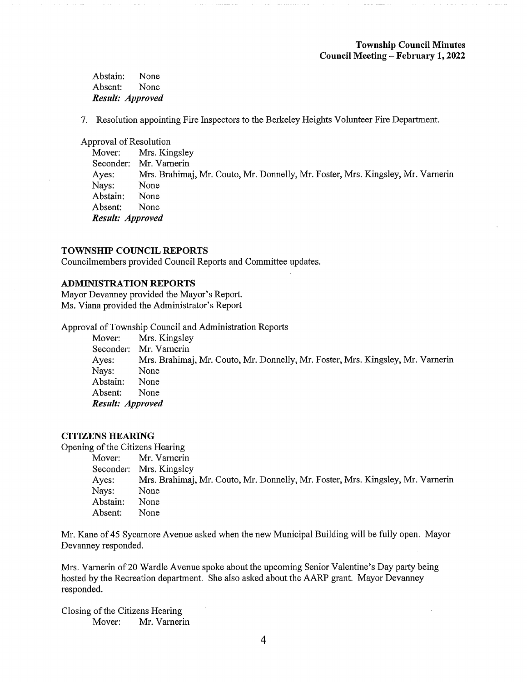### Township Council Minutes Council Meeting - February 1, 2022

Abstain: None Absent: None Result: Approved

7. Resolution appointing Fire Inspectors to the Berkeley Heights Volunteer Fire Department.

Approval of Resolution

Mover: Mrs. Kingsley Seconder: Mr. Vamerin Ayes: Mrs. Brahimaj, Mr. Couto, Mr. Donnelly, Mr. Foster, Mrs. Kingsley, Mr. Vamerin Nays: None Abstain: None Absent: None Result: Approved

#### TOWNSHIP COUNCIL REPORTS

Councilmembers provided Council Reports and Committee updates.

#### ADMINISTRATION REPORTS

Mayor Devanney provided the Mayor's Report. Ms. Viana provided the Administrator's Report

Approval of Township Council and Administration Reports

Mover: Mrs. Kingsley Seconder: Mr. Varnerin Ayes: Mrs. Brahimaj, Mr. Couto, Mr. Donnelly, Mr. Foster, Mrs. Kingsley, Mr. Vamerin Nays: None Abstain: None Absent: None Result: Approved

### CITIZENS HEARING

Opening of the Citizens Hearing

Mover: Mr. Varnerin Seconder: Mrs. Kingsley Ayes: Mrs. Brahimaj, Mr. Couto, Mr. Donnelly, Mr. Foster, Mrs. Kingsley, Mr. Vamerin Nays: None Abstain: None Absent: None

Mr. Kane of 45 Sycamore Avenue asked when the new Municipal Building will be fully open. Mayor Devanney responded.

Mrs. Vamerin of 20 Wardle Avenue spoke about the upcoming Senior Valentine's Day party being hosted by the Recreation department. She also asked about the AARP grant. Mayor Devanney responded.

Closing of the Citizens Hearing Mover: Mr. Varnerin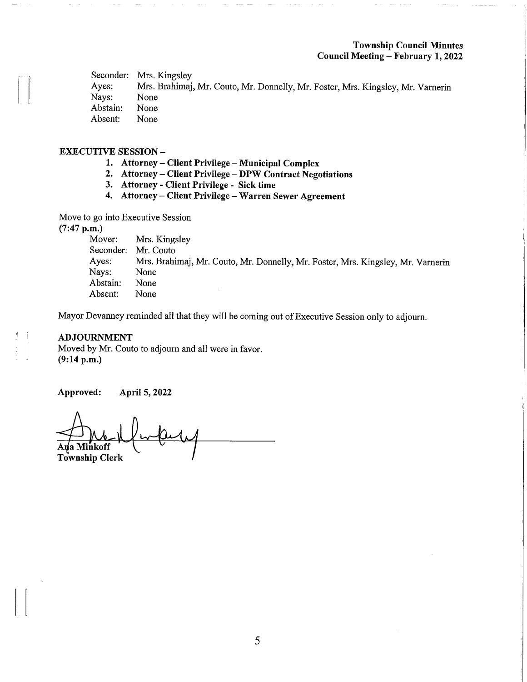### Township Council Minutes Council Meeting - February 1, 2022

Seconder: Mrs. Kingsley<br>Ayes: Mrs. Brahimaj Mrs. Brahimaj, Mr. Couto, Mr. Donnelly, Mr. Foster, Mrs. Kingsley, Mr. Varnerin<br>None Nays: None<br>Abstain: None Abstain: None<br>Absent: None Absent:

### EXECUTIVE SESSION -

- 1. Attorney Client Privilege Municipal Complex
- 2. Attorney Client Privilege DPW Contract Negotiations
- 3. Attorney Client Privilege Sick time
- 4. Attorney Client Privilege Warren Sewer Agreement

Move to go into Executive Session

(7:47 p.m.)<br>Mover:

Mover: Mrs. Kingsley<br>Seconder: Mr. Couto Seconder: Mr. Couto<br>Ayes: Mrs. Brahi Mrs. Brahimaj, Mr. Couto, Mr. Donnelly, Mr. Foster, Mrs. Kingsley, Mr. Varnerin<br>None Nays: None<br>Abstain: None Abstain: None<br>Absent: None Absent:

Mayor Devanney reminded all that they will be coming out of Executive Session only to adjourn.

## ADJOURNMENT

Moved by Mr. Couto to adjourn and all were in favor. (9:14 p.m.)

Approved: April 5,2022

Ana Minkoff Township Clerk  $\downarrow \downarrow$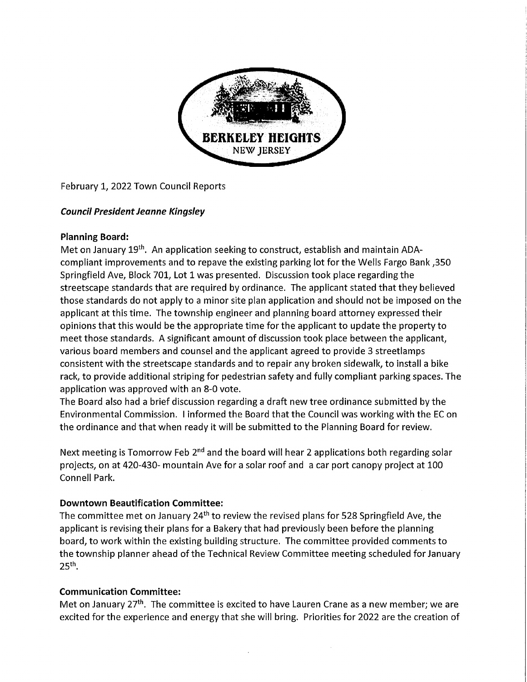

February 1, 2022 Town Council Reports

# Council President Jeanne Kingsley

# Planning Board:

Met on January 19<sup>th</sup>. An application seeking to construct, establish and maintain ADAcompliant improvements and to repave the existing parking lot for the Wells Fargo Bank ,350 Springfield Ave, Block 701, Lot 1 was presented. Discussion took place regarding the streetscape standards that are required by ordinance. The applicant stated that they believed those standards do not apply to a minor site plan application and should not be imposed on the applicant at this time. The township engineer and planning board attorney expressed their opinions that this would be the appropriate time for the applicant to update the property to meet those standards. A significant amount of discussion took place between the applicant, various board members and counsel and the applicant agreed to provide 3 streetlamps consistent with the streetscape standards and to repair any broken sidewalk, to install a bike rack, to provide additional striping for pedestrian safety and fully compliant parking spaces. The application was approved with an 8-0 vote.

The Board also had a brief discussion regarding a draft new tree ordinance submitted by the Environmental Commission. I informed the Board that the Council was working with the EC on the ordinance and that when ready it will be submitted to the Planning Board for review.

Next meeting is Tomorrow Feb 2<sup>nd</sup> and the board will hear 2 applications both regarding solar projects, on at 420-430- mountain Ave for a solar roof and a car port canopy project at 100 Connell Park.

# Downtown Beautification Committee:

The committee met on January  $24<sup>th</sup>$  to review the revised plans for 528 Springfield Ave, the applicant is revising their plans for a Bakery that had previously been before the planning board, to work within the existing building structure. The committee provided comments to the township planner ahead of the Technical Review Committee meeting scheduled for January  $25<sup>th</sup>$ .

# Communication Committee:

Met on January 27<sup>th</sup>. The committee is excited to have Lauren Crane as a new member; we are excited for the experience and energy that she will bring. Priorities for 2022 are the creation of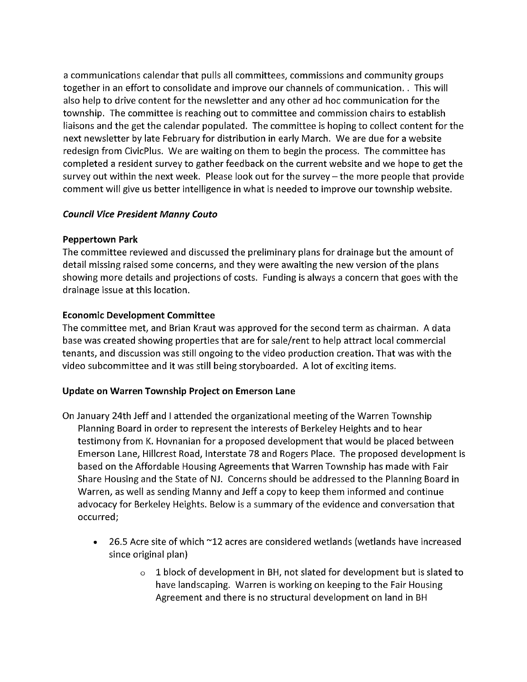a communications calendar that pulls all committees, commissions and community groups together in an effort to consolidate and improve our channels of communication.. This will also help to drive content for the newsletter and any other ad hoc communication for the township. The committee is reaching out to committee and commission chairs to establish liaisons and the get the calendar populated. The committee is hoping to collect content for the next newsletter by late February for distribution in early March. We are due for a website redesign from CivicPlus. We are waiting on them to begin the process. The committee has completed a resident survey to gather feedback on the current website and we hope to get the survey out within the next week. Please look out for the survey  $-$  the more people that provide comment will give us better intelligence in what is needed to improve our township website.

## Council Vice President Manny Couto

## Peppertown Park

The committee reviewed and discussed the preliminary plans for drainage but the amount of detail missing raised some concerns, and they were awaiting the new version of the plans showing more details and projections of costs. Funding is always a concern that goes with the drainage issue at this location.

## Economic Development Committee

The committee met, and Brian Kraut was approved for the second term as chairman. A data base was created showing properties that are for sale/rent to help attract local commercial tenants, and discussion was still ongoing to the video production creation. That was with the video subcommittee and it was still being storyboarded. A lot of exciting items.

# Update on Warren Township Project on Emerson Lane

- On January 24th Jeff and I attended the organizational meeting of the Warren Township Planning Board in order to represent the interests of Berkeley Heights and to hear testimony from K. Hovnanian for a proposed development that would be placed between Emerson Lane, Hillcrest Road, Interstate 78 and Rogers Place. The proposed development is based on the Affordable Housing Agreements that Warren Township has made with Fair Share Housing and the State of NJ. Concerns should be addressed to the Planning Board in Warren, as well as sending Manny and Jeff a copy to keep them informed and continue advocacy for Berkeley Heights. Below is a summary of the evidence and conversation that occurred;
	- 26.5 Acre site of which ~12 acres are considered wetlands (wetlands have increased since original plan)
		- $\circ$  1 block of development in BH, not slated for development but is slated to have landscaping. Warren is working on keeping to the Fair Housing Agreement and there is no structural development on land in BH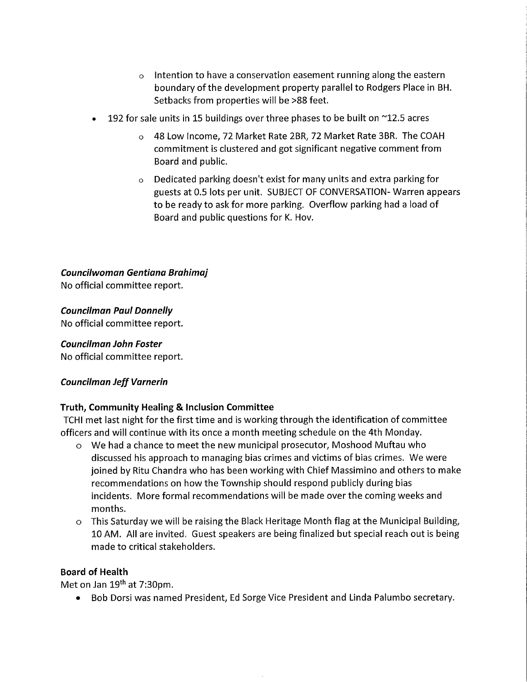- $\circ$  Intention to have a conservation easement running along the eastern boundary of the development property parallel to Rodgers Place in BH. Setbacks from properties will be >88 feet.
- 192 for sale units in 15 buildings over three phases to be built on  $\sim$ 12.5 acres
	- o 48 Low Income, 72 Market Rate 2BR, 72 Market Rate 3BR. The COAH commitment is clustered and got significant negative comment from Board and public.
	- Dedicated parking doesn't exist for many units and extra parking for guests at 0.5 lots per unit. SUBJECT OF CONVERSATION- Warren appears to be ready to ask for more parking. Overflow parking had a load of Board and public questions for K. Hov.

Councilwoman Gentiana Brahimaj

No official committee report.

Councilman Paul Donnelly

No official committee report.

Councilman John Foster

No official committee report.

# Councilman Jeff Varnerin

# Truth, Community Healing & Inclusion Committee

TCHI met last night for the first time and is working through the identification of committee officers and will continue with its once a month meeting schedule on the 4th Monday.

- o We had a chance to meet the new municipal prosecutor, Moshood Muftau who discussed his approach to managing bias crimes and victims of bias crimes. We were joined by Ritu Chandra who has been working with Chief Massimino and others to make recommendations on how the Township should respond publicly during bias incidents. More formal recommendations will be made over the coming weeks and months.
- o This Saturday we will be raising the Black Heritage Month flag at the Municipal Building, 10 AM. All are invited. Guest speakers are being finalized but special reach out is being made to critical stakeholders.

## Board of Health

Met on Jan 19th at 7:30pm.

• Bob Dorsi was named President, Ed Sorge Vice President and Linda Palumbo secretary.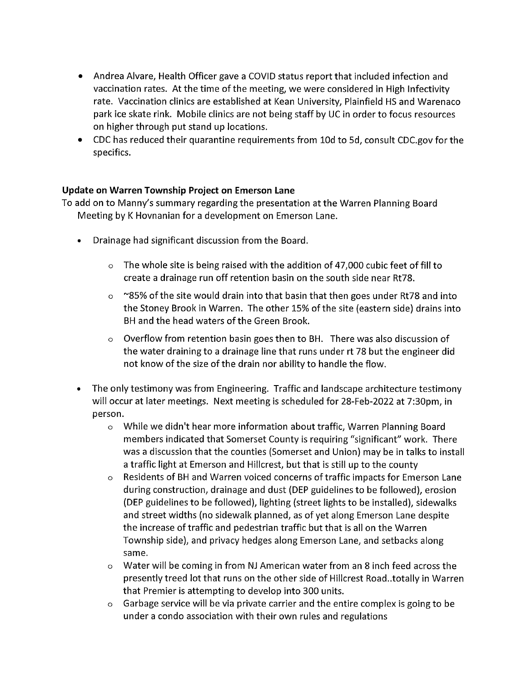- Andrea Alvare, Health Officer gave a COVID status report that included infection and vaccination rates. At the time of the meeting, we were considered in High Infectivity rate. Vaccination clinics are established at Kean University, Plainfield HS and Warenaco park ice skate rink. Mobile clinics are not being staff by DC in order to focus resources on higher through put stand up locations.
- CDC has reduced their quarantine requirements from lOd to 5d, consult CDC.gov for the specifics.

# Update on Warren Township Project on Emerson Lane

To add on to Manny's summary regarding the presentation at the Warren Planning Board Meeting by K Hovnanian for a development on Emerson Lane.

- Drainage had significant discussion from the Board.
	- o The whole site is being raised with the addition of 47,000 cubic feet of fill to create a drainage run off retention basin on the south side near Rt78.
	- $\circ$  ~85% of the site would drain into that basin that then goes under Rt78 and into the Stoney Brook in Warren. The other 15% of the site (eastern side) drains into BH and the head waters of the Green Brook.
	- Overflow from retention basin goes then to BH. There was also discussion of the water draining to a drainage line that runs under rt 78 but the engineer did not know of the size of the drain nor ability to handle the flow.
- The only testimony was from Engineering. Traffic and landscape architecture testimony will occur at later meetings. Next meeting is scheduled for 28-Feb-2022 at 7:30pm, in person.
	- o While we didn't hear more information about traffic, Warren Planning Board members indicated that Somerset County is requiring "significant" work. There was a discussion that the counties (Somerset and Union) may be in talks to install a traffic light at Emerson and Hillcrest, but that is still up to the county
	- o Residents of BH and Warren voiced concerns of traffic impacts for Emerson Lane during construction, drainage and dust (DEP guidelines to be followed), erosion (DEP guidelines to be followed), lighting (street lights to be installed), sidewalks and street widths (no sidewalk planned, as of yet along Emerson Lane despite the increase of traffic and pedestrian traffic but that is all on the Warren Township side), and privacy hedges along Emerson Lane, and setbacks along same.
	- o Water will be coming in from NJ American water from an 8 inch feed across the presently treed lot that runs on the other side of Hillcrest Road..totally in Warren that Premier is attempting to develop into 300 units.
	- $\circ$  Garbage service will be via private carrier and the entire complex is going to be under a condo association with their own rules and regulations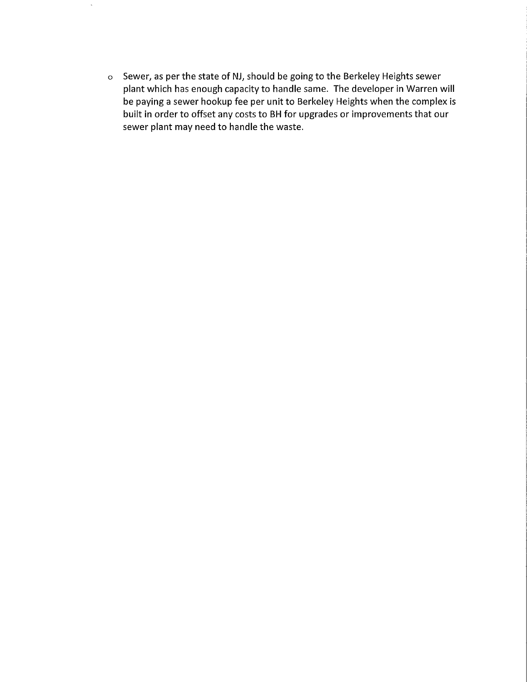o Sewer, as per the state of NJ, should be going to the Berkeley Heights sewer plant which has enough capacity to handle same. The developer in Warren will be paying a sewer hookup fee per unit to Berkeley Heights when the complex is built in order to offset any costs to BH for upgrades or improvements that our sewer plant may need to handle the waste.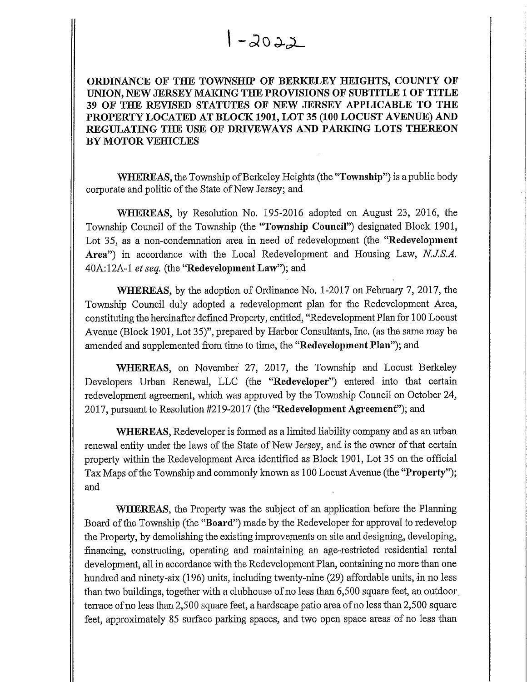ORDINANCE OF THE TOWNSHIP OF BERKELEY HEIGHTS, COUNTY OF UNION, NEW JERSEY MAKING THE PROVISIONS OF SUBTITLE 1 OF TITLE 39 OF THE REVISED STATUTES OF NEW JERSEY APPLICABLE TO THE PROPERTY LOCATED AT BLOCK 1901, LOT 35 (100 LOCUST AVENUE) AND REGULATING THE USE OF DRIVEWAYS AND PARKING LOTS THEREON BY MOTOR VEHICLES

WHEREAS, the Township of Berkeley Heights (the "Township") is a public body corporate and politic of the State of New Jersey; and

II

|| WHEREAS, by Resolution No. 195-2016 adopted on August 23, 2016, the Township Council of the Township (the "Township Council") designated Block 1901, Lot 35, as a non-condemnation area in need of redevelopment (the "Redevelopment Area") in accordance with the Local Redevelopment and Housing Law, N.J.S.A. 40A:12A-1 et seq. (the "Redevelopment Law"); and

WHEREAS, by the adoption of Ordinance No. 1-2017 on February 7, 2017, the Township Council duly adopted a redevelopment plan for the Redevelopment Area, constititing the hereinafter defined Property, entitled, "Redevelopment Plan for 1 00 Locust Avenue (Block 1901, Lot 35)", prepared by Harbor Consultants, Inc. (as the same may be amended and supplemented from time to time, the "Redevelopment Plan"); and

WHEREAS, on November 27, 2017, the Township and Locust Berkeley Developers Urban Renewal, LLC (fhe "Redeveloper") entered into that certain redevelopment agreement, which was approved by the Township Council on October 24, 2017, pursuant to Resolution #219-2017 (the "Redevelopment Agreement"); and

WHEREAS, Redeveloper is formed as a limited liability company and as an urban renewal entity under the laws of the State of New Jersey, and is the owner of that certain property within the Redevelopment Area identified as Block 1901, Lot 35 on the official Tax Maps of the Township and commonly known as 100 Locust Avenue (the "Property"); and

WHEREAS, the Property was the subject of an application before the Planning Board of the Township (the "Board") made by the Redeveloper for approval to redevelop the Property, by demolishing the existing improvements on site and designing, developing, financing, constructing, operating and maintaining an age-restricted residential rental development, all in accordance with the Redevelopment Plan, containing no more than one hundred and ninety-six (196) units, including twenty-nine (29) affordable units, in no less than two buildings, together with a clubhouse of no less than 6,500 square feet, an outdoor . terrace of no less than 2,500 square feet, a hardscape patio area of no less than 2,500 square feet, approximately 85 surface parking spaces, and two open space areas of no less than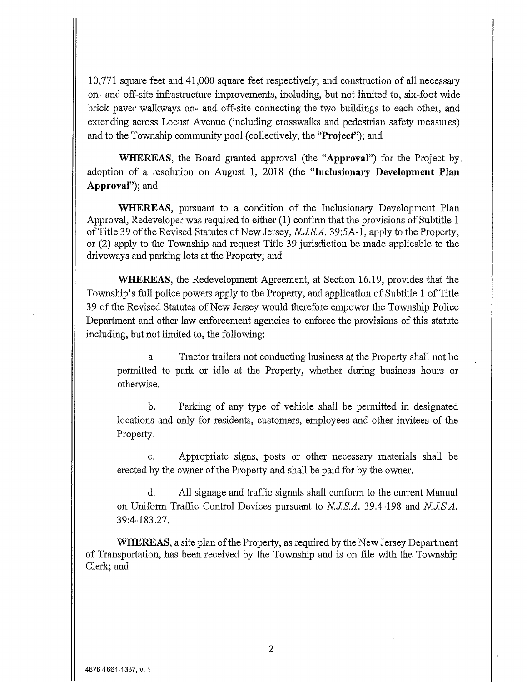10,771 square feet and 41,000 square feet respectively; and construction of all necessary on- and off-site infrastructure improvements, including, but not limited to, six-foot wide brick paver walkways on- and off-site connecting the two buildings to each other, and extending across Locust Avenue (including crosswalks and pedestrian safety measures) and to the Township community pool (collectively, the "Project"), and

WHEREAS, the Board granted approval (the "Approval") for the Project by. adoption of a resolution on August 1, 2018 (the "Inclusionary Development Plan Approval"), and

WHEREAS, pursuant to a condition of the Inclusionary Development Plan Approval, Redeveloper was required to either (1) confirm that the provisions of Subtitle 1 of Title 39 of the Revised Statutes of New Jersey, N.J.S.A. 39:5A-1, apply to the Property, or (2) apply to the Township and request Title 39 jurisdiction be made applicable to the driveways and parking lots at the Property; and

WHEREAS, the Redevelopment Agreement, at Section 16.19, provides that the Township's fall police powers apply to the Property, and application of Subtitle 1 of Title 39 of the Revised Statutes of New Jersey would therefore empower the Township Police Department and other law enforcement agencies to enforce the provisions of fhis statute including, but not limited to, the following;

a, Tractor trailers not conducting business at the Property shall not be permitted to park or idle at the Property, whether during business hours or otherwise.

b. Parking of any type of vehicle shall be permitted in designated locations and only for residents, customers, employees and other invitees of the Property.

c. Appropriate signs, posts or other necessay materials shall be erected by the owner of the Property and shall be paid for by the owner.

d, All signage and traffic signals shall conform to the current Manual on Uniform Traffic Control Devices pursuant to N.J.S.A. 39.4-198 and N.J.S.A. 39:4-183.27.

WHEREAS, a site plan of the Property, as required by the New Jersey Department of Transportation, has been received by the Township and is on file with the Township Clerk; and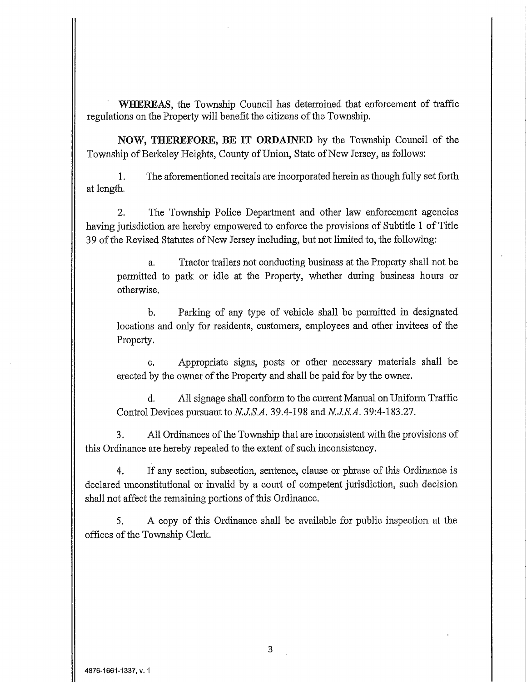WHEREAS, the Township Council has determined that enforcement of traffic regulations on the Property will benefit the citizens of the Township.

NOW, THEREFORE, BE IT ORDAINED by the Township Council of the Township of Berkeley Heights, County of Union, State of New Jersey, as follows:

1, The aforementioned recitals are incorporated herein as though fully set forth at length,

2, The Township Police Department and other law enforcement agencies having jurisdiction are hereby empowered to enforce the provisions of Subtitle 1 of Title 39 of the Revised Statutes of New Jersey including, but not limited to, the following;

a. Tractor trailers not conducting business at the Property shall not be permitted to park or idle at the Property, whether during business hours or otherwise.

b. Parking of any type of vehicle shall be permitted in designated locations and only for residents, customers, employees and other invitees of the Property.

c. Appropriate signs, posts or other necessary materials shall be erected by the owner of the Property and shall be paid for by the owner,

d. All signage shall conform to the current Manual on Uniform Traffic Control Devices pursuant to N.J.S.A. 39.4-198 and N.J.S.A. 39:4-183.27.

3. All Ordinances of the Township that are inconsistent with the provisions of this Ordinance are hereby repealed to the extent of such inconsistency.

4. If any section, subsection, sentence, clause or phrase of this Ordinance is declared unconstitutional or invalid by a court of competent jurisdiction, such decision shall not affect the remaining portions of this Ordinance.

5. A copy of this Ordinance shall be available for public inspection at the offices of the Township Clerk.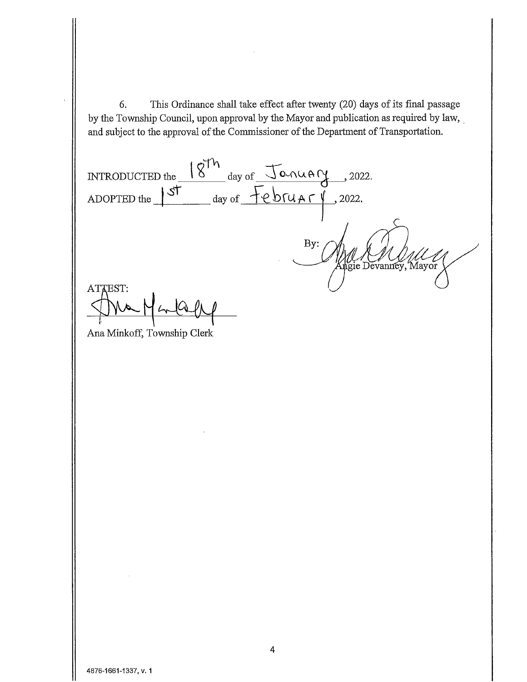6. This Ordinance shall take effect after twenty (20) days of its final passage by the Township Council, upon approval by the Mayor and publication as required by law, and subject to the approval of the Commissioner of the Department of Transportation.

INTRODUCTED the  $\zeta^{\uparrow h}$ day of  $\sqrt{\alpha}$   $\alpha \alpha \beta$  , 2022  $ADOP$ TED the  $\int$ st day of  $\overline{\text{PEOMATY}}$ , 2022. By: All Commey, Mayor ATTEST:

Ana Minkoff, Township Clerk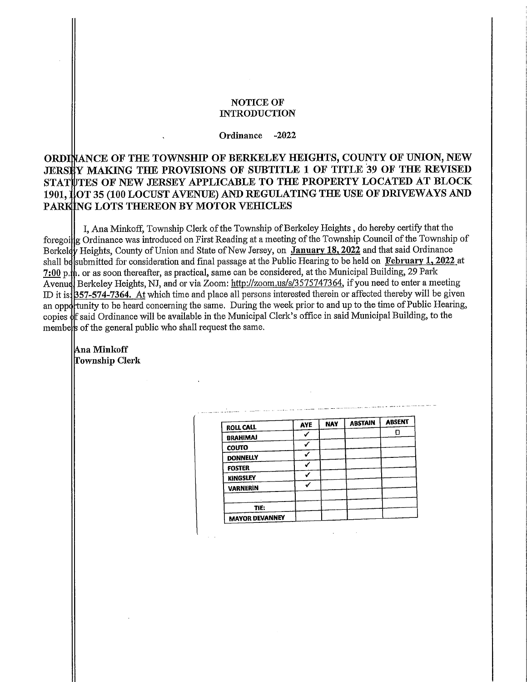#### NOTICE OF **INTRODUCTION**

Ordinance -2022

# ORDINANCE OF THE TOWNSHIP OF BERKELEY HEIGHTS, COUNTY OF UNION, NEW JERSEY MAKING THE PROVISIONS OF SUBTITLE 1 OF TITLE 39 OF THE REVISED STATUTES OF NEW JERSEY APPLICABLE TO THE PROPERTY LOCATED AT BLOCK 1901, JOT 35 (100 LOCUST AVENUE) AND REGULATING THE USE OF DRIVEWAYS AND PARKING LOTS THEREON BY MOTOR VEHICLES

foregoillg Ordinance was introduced on First Reading at a meeting of the Township Council of the Township of Berkeldy Heights, County of Union and State of New Jersey, on January 18, 2022 and that said Ordinance shall be[submitted for consideration and final passage at the Public Hearing to be held on <u>February 1, 2022</u> at  $7:00$  p.th. or as soon thereafter, as practical, same can be considered, at the Municipal Building, 29 Park Avenuel Berkeley Heights, NJ, and or via Zoom: http://zoom.us/s/3575747364, if you need to enter a meeting ID it is: **B57-574-7364.** At which time and place all persons interested therein or affected thereby will be giver an opportunity to be heard concerning the same. During the week prior to and up to the time of Public Hearing copies off said Ordinance will be available in the Municipal Clerk's office in said Municipal Building, to the membels of the general public who shall request the same I, Ana Minlcoff, Township Clerk of the Township of Berkeley Heights , do hereby certify that the

lAna Minkoff Township Clerk

| <b>ROLL CALL</b>      | <b>AYE</b> | <b>NAY</b> | <b>ABSTAIN</b> | <b>ABSENT</b> |
|-----------------------|------------|------------|----------------|---------------|
|                       |            |            |                |               |
| <b>BRAHIMAJ</b>       |            |            |                |               |
| <b>COUTO</b>          |            |            |                |               |
| <b>DONNELLY</b>       |            |            |                |               |
| <b>FOSTER</b>         |            |            |                |               |
| <b>KINGSLEY</b>       |            |            |                |               |
| <b>VARNERIN</b>       |            |            |                |               |
|                       |            |            |                |               |
| TIE:                  |            |            |                |               |
| <b>MAYOR DEVANNEY</b> |            |            |                |               |